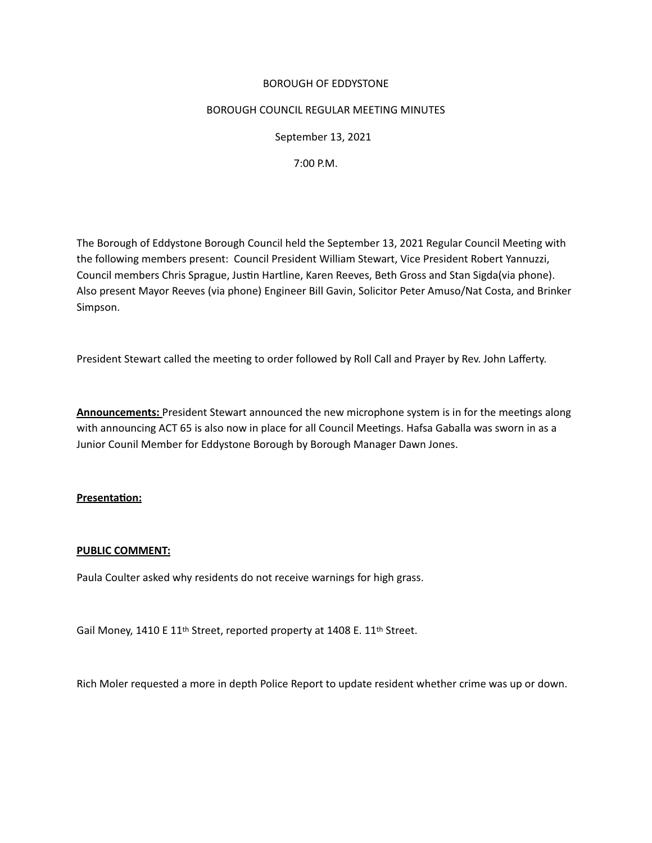# BOROUGH OF EDDYSTONE

### BOROUGH COUNCIL REGULAR MEETING MINUTES

 September 13, 2021

 7:00 P.M.

The Borough of Eddystone Borough Council held the September 13, 2021 Regular Council Meetng with the following members present: Council President William Stewart, Vice President Robert Yannuzzi, Council members Chris Sprague, Justn Hartline, Karen Reeves, Beth Gross and Stan Sigda(via phone). Also present Mayor Reeves (via phone) Engineer Bill Gavin, Solicitor Peter Amuso/Nat Costa, and Brinker Simpson. 

President Stewart called the meeting to order followed by Roll Call and Prayer by Rev. John Lafferty.

**Announcements:** President Stewart announced the new microphone system is in for the meetngs along with announcing ACT 65 is also now in place for all Council Meetngs. Hafsa Gaballa was sworn in as a Junior Counil Member for Eddystone Borough by Borough Manager Dawn Jones.

## **Presentaton:**

## **PUBLIC COMMENT:**

Paula Coulter asked why residents do not receive warnings for high grass.

Gail Money, 1410 E 11<sup>th</sup> Street, reported property at 1408 E. 11<sup>th</sup> Street.

Rich Moler requested a more in depth Police Report to update resident whether crime was up or down.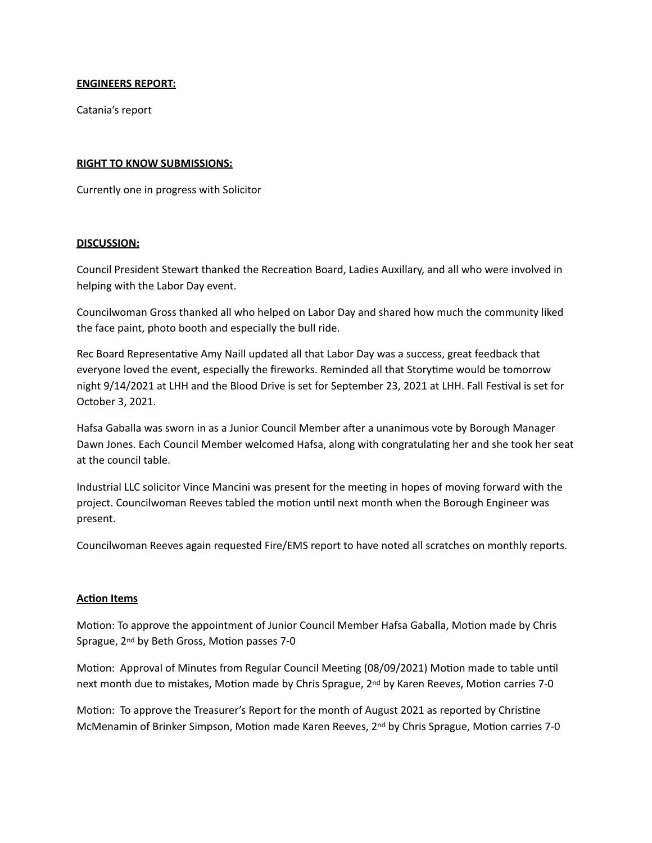### **ENGINEERS REPORT:**

Catania's report

### **RIGHT TO KNOW SUBMISSIONS:**

Currently one in progress with Solicitor

### **DISCUSSION:**

Council President Stewart thanked the Recreaton Board, Ladies Auxillary, and all who were involved in helping with the Labor Day event. 

Councilwoman Gross thanked all who helped on Labor Day and shared how much the community liked the face paint, photo booth and especially the bull ride.

Rec Board Representatve Amy Naill updated all that Labor Day was a success, great feedback that everyone loved the event, especially the fireworks. Reminded all that Storytime would be tomorrow night 9/14/2021 at LHH and the Blood Drive is set for September 23, 2021 at LHH. Fall Festval is set for October 3, 2021.

Hafsa Gaballa was sworn in as a Junior Council Member after a unanimous vote by Borough Manager Dawn Jones. Each Council Member welcomed Hafsa, along with congratulating her and she took her seat at the council table.

Industrial LLC solicitor Vince Mancini was present for the meetng in hopes of moving forward with the project. Councilwoman Reeves tabled the moton untl next month when the Borough Engineer was present.

Councilwoman Reeves again requested Fire/EMS report to have noted all scratches on monthly reports.

#### **Acton Items**

Motion: To approve the appointment of Junior Council Member Hafsa Gaballa, Motion made by Chris Sprague, 2<sup>nd</sup> by Beth Gross, Motion passes 7-0

Motion: Approval of Minutes from Regular Council Meeting (08/09/2021) Motion made to table until next month due to mistakes, Motion made by Chris Sprague, 2<sup>nd</sup> by Karen Reeves, Motion carries 7-0

Motion: To approve the Treasurer's Report for the month of August 2021 as reported by Christine McMenamin of Brinker Simpson, Motion made Karen Reeves, 2<sup>nd</sup> by Chris Sprague, Motion carries 7-0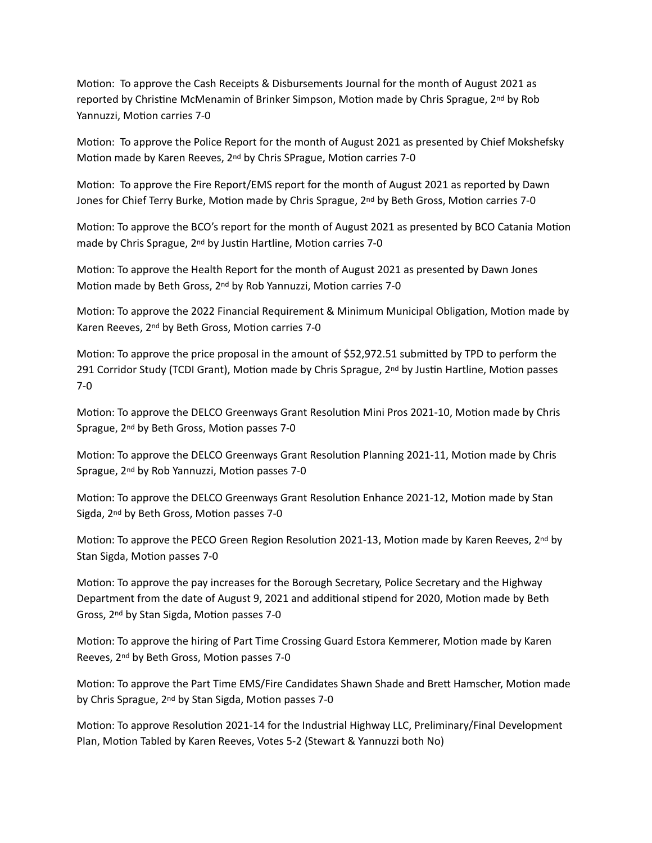Motion: To approve the Cash Receipts & Disbursements Journal for the month of August 2021 as reported by Christine McMenamin of Brinker Simpson, Motion made by Chris Sprague, 2<sup>nd</sup> by Rob Yannuzzi, Motion carries 7-0

Motion: To approve the Police Report for the month of August 2021 as presented by Chief Mokshefsky Motion made by Karen Reeves, 2<sup>nd</sup> by Chris SPrague, Motion carries 7-0

Motion: To approve the Fire Report/EMS report for the month of August 2021 as reported by Dawn Jones for Chief Terry Burke, Motion made by Chris Sprague, 2<sup>nd</sup> by Beth Gross, Motion carries 7-0

Motion: To approve the BCO's report for the month of August 2021 as presented by BCO Catania Motion made by Chris Sprague, 2<sup>nd</sup> by Justin Hartline, Motion carries 7-0

Motion: To approve the Health Report for the month of August 2021 as presented by Dawn Jones Motion made by Beth Gross, 2<sup>nd</sup> by Rob Yannuzzi, Motion carries 7-0

Motion: To approve the 2022 Financial Requirement & Minimum Municipal Obligation, Motion made by Karen Reeves, 2<sup>nd</sup> by Beth Gross, Motion carries 7-0

Motion: To approve the price proposal in the amount of \$52,972.51 submitted by TPD to perform the 291 Corridor Study (TCDI Grant), Motion made by Chris Sprague, 2<sup>nd</sup> by Justin Hartline, Motion passes 7-0

Motion: To approve the DELCO Greenways Grant Resolution Mini Pros 2021-10, Motion made by Chris Sprague, 2<sup>nd</sup> by Beth Gross, Motion passes 7-0

Motion: To approve the DELCO Greenways Grant Resolution Planning 2021-11, Motion made by Chris Sprague, 2<sup>nd</sup> by Rob Yannuzzi, Motion passes 7-0

Motion: To approve the DELCO Greenways Grant Resolution Enhance 2021-12, Motion made by Stan Sigda, 2<sup>nd</sup> by Beth Gross, Motion passes 7-0

Motion: To approve the PECO Green Region Resolution 2021-13, Motion made by Karen Reeves, 2<sup>nd</sup> by Stan Sigda, Motion passes 7-0

Motion: To approve the pay increases for the Borough Secretary, Police Secretary and the Highway Department from the date of August 9, 2021 and additonal stpend for 2020, Moton made by Beth Gross, 2<sup>nd</sup> by Stan Sigda, Motion passes 7-0

Motion: To approve the hiring of Part Time Crossing Guard Estora Kemmerer, Motion made by Karen Reeves, 2<sup>nd</sup> by Beth Gross, Motion passes 7-0

Motion: To approve the Part Time EMS/Fire Candidates Shawn Shade and Brett Hamscher, Motion made by Chris Sprague, 2<sup>nd</sup> by Stan Sigda, Motion passes 7-0

Motion: To approve Resolution 2021-14 for the Industrial Highway LLC, Preliminary/Final Development Plan, Motion Tabled by Karen Reeves, Votes 5-2 (Stewart & Yannuzzi both No)